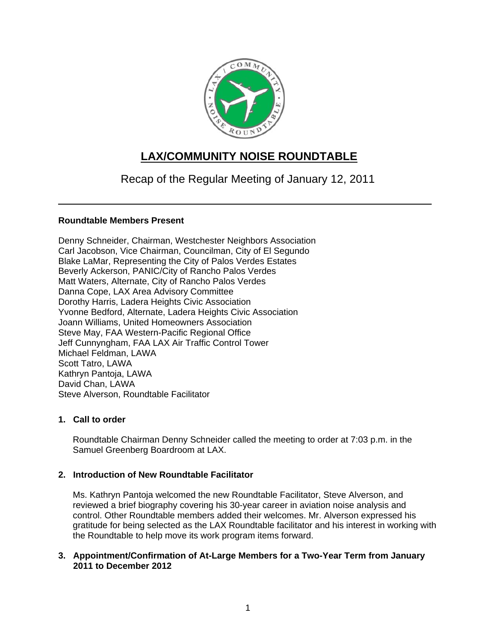

# **LAX/COMMUNITY NOISE ROUNDTABLE**

Recap of the Regular Meeting of January 12, 2011

# **Roundtable Members Present**

Denny Schneider, Chairman, Westchester Neighbors Association Carl Jacobson, Vice Chairman, Councilman, City of El Segundo Blake LaMar, Representing the City of Palos Verdes Estates Beverly Ackerson, PANIC/City of Rancho Palos Verdes Matt Waters, Alternate, City of Rancho Palos Verdes Danna Cope, LAX Area Advisory Committee Dorothy Harris, Ladera Heights Civic Association Yvonne Bedford, Alternate, Ladera Heights Civic Association Joann Williams, United Homeowners Association Steve May, FAA Western-Pacific Regional Office Jeff Cunnyngham, FAA LAX Air Traffic Control Tower Michael Feldman, LAWA Scott Tatro, LAWA Kathryn Pantoja, LAWA David Chan, LAWA Steve Alverson, Roundtable Facilitator

# **1. Call to order**

Roundtable Chairman Denny Schneider called the meeting to order at 7:03 p.m. in the Samuel Greenberg Boardroom at LAX.

# **2. Introduction of New Roundtable Facilitator**

Ms. Kathryn Pantoja welcomed the new Roundtable Facilitator, Steve Alverson, and reviewed a brief biography covering his 30-year career in aviation noise analysis and control. Other Roundtable members added their welcomes. Mr. Alverson expressed his gratitude for being selected as the LAX Roundtable facilitator and his interest in working with the Roundtable to help move its work program items forward.

## **3. Appointment/Confirmation of At-Large Members for a Two-Year Term from January 2011 to December 2012**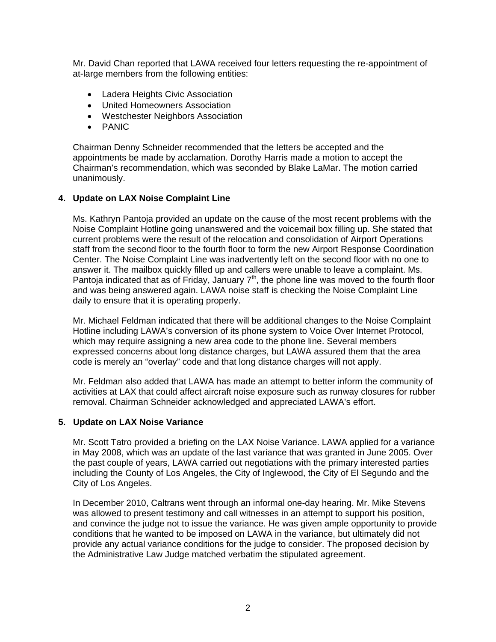Mr. David Chan reported that LAWA received four letters requesting the re-appointment of at-large members from the following entities:

- Ladera Heights Civic Association
- United Homeowners Association
- Westchester Neighbors Association
- PANIC

Chairman Denny Schneider recommended that the letters be accepted and the appointments be made by acclamation. Dorothy Harris made a motion to accept the Chairman's recommendation, which was seconded by Blake LaMar. The motion carried unanimously.

### **4. Update on LAX Noise Complaint Line**

Ms. Kathryn Pantoja provided an update on the cause of the most recent problems with the Noise Complaint Hotline going unanswered and the voicemail box filling up. She stated that current problems were the result of the relocation and consolidation of Airport Operations staff from the second floor to the fourth floor to form the new Airport Response Coordination Center. The Noise Complaint Line was inadvertently left on the second floor with no one to answer it. The mailbox quickly filled up and callers were unable to leave a complaint. Ms. Pantoja indicated that as of Friday, January  $7<sup>th</sup>$ , the phone line was moved to the fourth floor and was being answered again. LAWA noise staff is checking the Noise Complaint Line daily to ensure that it is operating properly.

Mr. Michael Feldman indicated that there will be additional changes to the Noise Complaint Hotline including LAWA's conversion of its phone system to Voice Over Internet Protocol, which may require assigning a new area code to the phone line. Several members expressed concerns about long distance charges, but LAWA assured them that the area code is merely an "overlay" code and that long distance charges will not apply.

Mr. Feldman also added that LAWA has made an attempt to better inform the community of activities at LAX that could affect aircraft noise exposure such as runway closures for rubber removal. Chairman Schneider acknowledged and appreciated LAWA's effort.

#### **5. Update on LAX Noise Variance**

Mr. Scott Tatro provided a briefing on the LAX Noise Variance. LAWA applied for a variance in May 2008, which was an update of the last variance that was granted in June 2005. Over the past couple of years, LAWA carried out negotiations with the primary interested parties including the County of Los Angeles, the City of Inglewood, the City of El Segundo and the City of Los Angeles.

In December 2010, Caltrans went through an informal one-day hearing. Mr. Mike Stevens was allowed to present testimony and call witnesses in an attempt to support his position, and convince the judge not to issue the variance. He was given ample opportunity to provide conditions that he wanted to be imposed on LAWA in the variance, but ultimately did not provide any actual variance conditions for the judge to consider. The proposed decision by the Administrative Law Judge matched verbatim the stipulated agreement.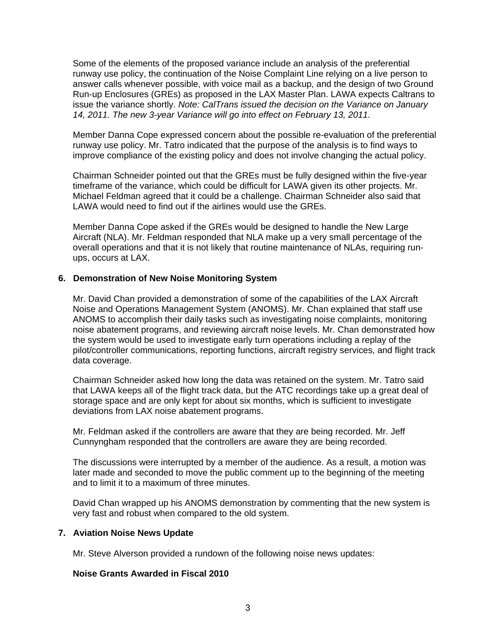Some of the elements of the proposed variance include an analysis of the preferential runway use policy, the continuation of the Noise Complaint Line relying on a live person to answer calls whenever possible, with voice mail as a backup, and the design of two Ground Run-up Enclosures (GREs) as proposed in the LAX Master Plan. LAWA expects Caltrans to issue the variance shortly. *Note: CalTrans issued the decision on the Variance on January 14, 2011. The new 3-year Variance will go into effect on February 13, 2011.* 

Member Danna Cope expressed concern about the possible re-evaluation of the preferential runway use policy. Mr. Tatro indicated that the purpose of the analysis is to find ways to improve compliance of the existing policy and does not involve changing the actual policy.

Chairman Schneider pointed out that the GREs must be fully designed within the five-year timeframe of the variance, which could be difficult for LAWA given its other projects. Mr. Michael Feldman agreed that it could be a challenge. Chairman Schneider also said that LAWA would need to find out if the airlines would use the GREs.

Member Danna Cope asked if the GREs would be designed to handle the New Large Aircraft (NLA). Mr. Feldman responded that NLA make up a very small percentage of the overall operations and that it is not likely that routine maintenance of NLAs, requiring runups, occurs at LAX.

### **6. Demonstration of New Noise Monitoring System**

Mr. David Chan provided a demonstration of some of the capabilities of the LAX Aircraft Noise and Operations Management System (ANOMS). Mr. Chan explained that staff use ANOMS to accomplish their daily tasks such as investigating noise complaints, monitoring noise abatement programs, and reviewing aircraft noise levels. Mr. Chan demonstrated how the system would be used to investigate early turn operations including a replay of the pilot/controller communications, reporting functions, aircraft registry services, and flight track data coverage.

Chairman Schneider asked how long the data was retained on the system. Mr. Tatro said that LAWA keeps all of the flight track data, but the ATC recordings take up a great deal of storage space and are only kept for about six months, which is sufficient to investigate deviations from LAX noise abatement programs.

Mr. Feldman asked if the controllers are aware that they are being recorded. Mr. Jeff Cunnyngham responded that the controllers are aware they are being recorded.

The discussions were interrupted by a member of the audience. As a result, a motion was later made and seconded to move the public comment up to the beginning of the meeting and to limit it to a maximum of three minutes.

David Chan wrapped up his ANOMS demonstration by commenting that the new system is very fast and robust when compared to the old system.

#### **7. Aviation Noise News Update**

Mr. Steve Alverson provided a rundown of the following noise news updates:

#### **Noise Grants Awarded in Fiscal 2010**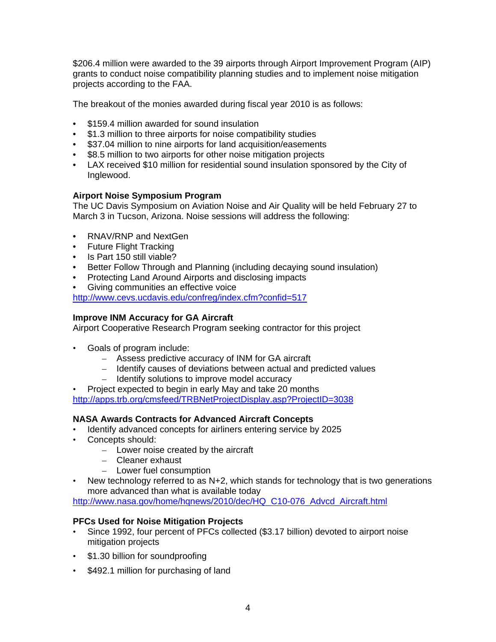\$206.4 million were awarded to the 39 airports through Airport Improvement Program (AIP) grants to conduct noise compatibility planning studies and to implement noise mitigation projects according to the FAA.

The breakout of the monies awarded during fiscal year 2010 is as follows:

- \$159.4 million awarded for sound insulation
- \$1.3 million to three airports for noise compatibility studies
- \$37.04 million to nine airports for land acquisition/easements
- \$8.5 million to two airports for other noise mitigation projects
- LAX received \$10 million for residential sound insulation sponsored by the City of Inglewood.

# **Airport Noise Symposium Program**

The UC Davis Symposium on Aviation Noise and Air Quality will be held February 27 to March 3 in Tucson, Arizona. Noise sessions will address the following:

- RNAV/RNP and NextGen
- Future Flight Tracking
- Is Part 150 still viable?
- Better Follow Through and Planning (including decaying sound insulation)
- Protecting Land Around Airports and disclosing impacts
- Giving communities an effective voice

<http://www.cevs.ucdavis.edu/confreg/index.cfm?confid=517>

# **Improve INM Accuracy for GA Aircraft**

Airport Cooperative Research Program seeking contractor for this project

- Goals of program include:
	- Assess predictive accuracy of INM for GA aircraft
	- Identify causes of deviations between actual and predicted values
	- Identify solutions to improve model accuracy

• Project expected to begin in early May and take 20 months <http://apps.trb.org/cmsfeed/TRBNetProjectDisplay.asp?ProjectID=3038>

# **NASA Awards Contracts for Advanced Aircraft Concepts**

- Identify advanced concepts for airliners entering service by 2025
- Concepts should:
	- Lower noise created by the aircraft
	- Cleaner exhaust
	- Lower fuel consumption
- New technology referred to as  $N+2$ , which stands for technology that is two generations more advanced than what is available today

[http://www.nasa.gov/home/hqnews/2010/dec/HQ\\_C10-076\\_Advcd\\_Aircraft.html](http://www.nasa.gov/home/hqnews/2010/dec/HQ_C10-076_Advcd_Aircraft.html)

## **PFCs Used for Noise Mitigation Projects**

- Since 1992, four percent of PFCs collected (\$3.17 billion) devoted to airport noise mitigation projects
- \$1.30 billion for soundproofing
- \$492.1 million for purchasing of land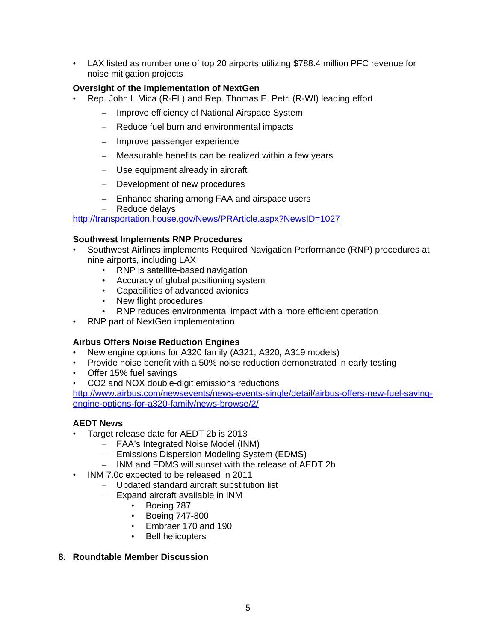• LAX listed as number one of top 20 airports utilizing \$788.4 million PFC revenue for noise mitigation projects

# **Oversight of the Implementation of NextGen**

- Rep. John L Mica (R-FL) and Rep. Thomas E. Petri (R-WI) leading effort
	- Improve efficiency of National Airspace System
	- Reduce fuel burn and environmental impacts
	- Improve passenger experience
	- Measurable benefits can be realized within a few years
	- Use equipment already in aircraft
	- Development of new procedures
	- Enhance sharing among FAA and airspace users
	- Reduce delays

<http://transportation.house.gov/News/PRArticle.aspx?NewsID=1027>

### **Southwest Implements RNP Procedures**

- Southwest Airlines implements Required Navigation Performance (RNP) procedures at nine airports, including LAX
	- RNP is satellite-based navigation
	- Accuracy of global positioning system
	- Capabilities of advanced avionics
	- New flight procedures
	- RNP reduces environmental impact with a more efficient operation
- RNP part of NextGen implementation

## **Airbus Offers Noise Reduction Engines**

- New engine options for A320 family (A321, A320, A319 models)
- Provide noise benefit with a 50% noise reduction demonstrated in early testing
- Offer 15% fuel savings
- CO2 and NOX double-digit emissions reductions

[http://www.airbus.com/newsevents/news-events-single/detail/airbus-offers-new-fuel-saving](http://www.airbus.com/newsevents/news-events-single/detail/airbus-offers-new-fuel-saving-engine-options-for-a320-family/news-browse/2/)[engine-options-for-a320-family/news-browse/2/](http://www.airbus.com/newsevents/news-events-single/detail/airbus-offers-new-fuel-saving-engine-options-for-a320-family/news-browse/2/)

## **AEDT News**

- Target release date for AEDT 2b is 2013
	- FAA's Integrated Noise Model (INM)
	- Emissions Dispersion Modeling System (EDMS)
	- INM and EDMS will sunset with the release of AEDT 2b
- INM 7.0c expected to be released in 2011
	- Updated standard aircraft substitution list
	- Expand aircraft available in INM
		- Boeing 787
		- Boeing 747-800
		- Embraer 170 and 190
		- Bell helicopters

## **8. Roundtable Member Discussion**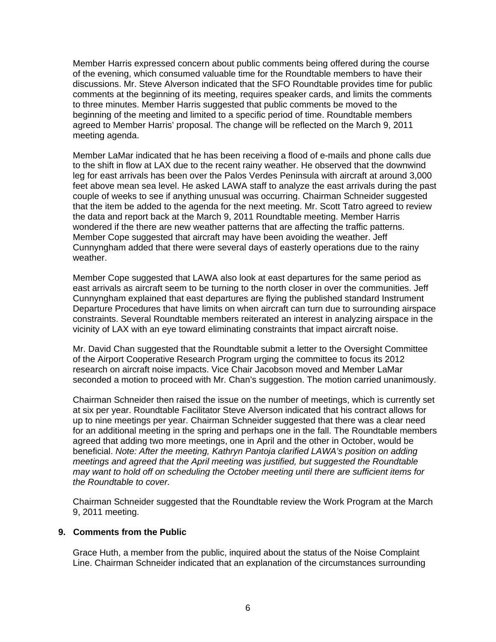Member Harris expressed concern about public comments being offered during the course of the evening, which consumed valuable time for the Roundtable members to have their discussions. Mr. Steve Alverson indicated that the SFO Roundtable provides time for public comments at the beginning of its meeting, requires speaker cards, and limits the comments to three minutes. Member Harris suggested that public comments be moved to the beginning of the meeting and limited to a specific period of time. Roundtable members agreed to Member Harris' proposal. The change will be reflected on the March 9, 2011 meeting agenda.

Member LaMar indicated that he has been receiving a flood of e-mails and phone calls due to the shift in flow at LAX due to the recent rainy weather. He observed that the downwind leg for east arrivals has been over the Palos Verdes Peninsula with aircraft at around 3,000 feet above mean sea level. He asked LAWA staff to analyze the east arrivals during the past couple of weeks to see if anything unusual was occurring. Chairman Schneider suggested that the item be added to the agenda for the next meeting. Mr. Scott Tatro agreed to review the data and report back at the March 9, 2011 Roundtable meeting. Member Harris wondered if the there are new weather patterns that are affecting the traffic patterns. Member Cope suggested that aircraft may have been avoiding the weather. Jeff Cunnyngham added that there were several days of easterly operations due to the rainy weather.

Member Cope suggested that LAWA also look at east departures for the same period as east arrivals as aircraft seem to be turning to the north closer in over the communities. Jeff Cunnyngham explained that east departures are flying the published standard Instrument Departure Procedures that have limits on when aircraft can turn due to surrounding airspace constraints. Several Roundtable members reiterated an interest in analyzing airspace in the vicinity of LAX with an eye toward eliminating constraints that impact aircraft noise.

Mr. David Chan suggested that the Roundtable submit a letter to the Oversight Committee of the Airport Cooperative Research Program urging the committee to focus its 2012 research on aircraft noise impacts. Vice Chair Jacobson moved and Member LaMar seconded a motion to proceed with Mr. Chan's suggestion. The motion carried unanimously.

Chairman Schneider then raised the issue on the number of meetings, which is currently set at six per year. Roundtable Facilitator Steve Alverson indicated that his contract allows for up to nine meetings per year. Chairman Schneider suggested that there was a clear need for an additional meeting in the spring and perhaps one in the fall. The Roundtable members agreed that adding two more meetings, one in April and the other in October, would be beneficial. *Note: After the meeting, Kathryn Pantoja clarified LAWA's position on adding meetings and agreed that the April meeting was justified, but suggested the Roundtable may want to hold off on scheduling the October meeting until there are sufficient items for the Roundtable to cover.* 

Chairman Schneider suggested that the Roundtable review the Work Program at the March 9, 2011 meeting.

### **9. Comments from the Public**

Grace Huth, a member from the public, inquired about the status of the Noise Complaint Line. Chairman Schneider indicated that an explanation of the circumstances surrounding